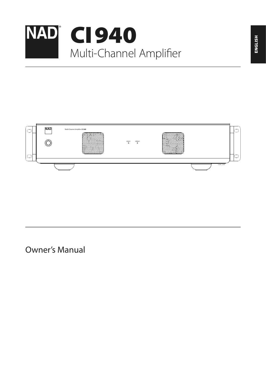



Owner's Manual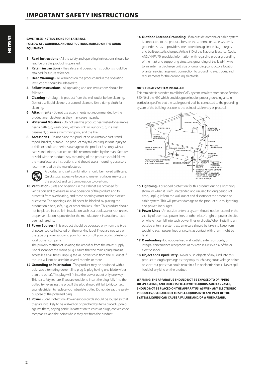#### **SAVE THESE INSTRUCTIONS FOR LATER USE. FOLLOW ALL WARNINGS AND INSTRUCTIONS MARKED ON THE AUDIO EQUIPMENT.**

- **1 Read instructions**  All the safety and operating instructions should be read before the product is operated.
- **2 Retain instructions**  The safety and operating instructions should be retained for future reference.
- **3 Heed Warnings**  All warnings on the product and in the operating instructions should be adhered to.
- **4 Follow Instructions**  All operating and use instructions should be followed.
- **5 Cleaning** Unplug this product from the wall outlet before cleaning. Do not use liquid cleaners or aerosol cleaners. Use a damp cloth for cleaning.
- **6 Attachments**  Do not use attachments not recommended by the product manufacturer as they may cause hazards.
- **7 Water and Moisture**  Do not use this product near water-for example, near a bath tub, wash bowl, kitchen sink, or laundry tub; in a wet basement; or near a swimming pool; and the like.
- **8 Accessories**  Do not place this product on an unstable cart, stand, tripod, bracket, or table. The product may fall, causing serious injury to a child or adult, and serious damage to the product. Use only with a cart, stand, tripod, bracket, or table recommended by the manufacturer, or sold with the product. Any mounting of the product should follow the manufacturer's instructions, and should use a mounting accessory recommended by the manufacturer.



**9** A product and cart combination should be moved with care. Quick stops, excessive force, and uneven surfaces may cause the product and cart combination to overturn.

- **10 Ventilation**  Slots and openings in the cabinet are provided for ventilation and to ensure reliable operation of the product and to protect it from overheating, and these openings must not be blocked or covered. The openings should never be blocked by placing the product on a bed, sofa, rug, or other similar surface. This product should not be placed in a built-in installation such as a bookcase or rack unless proper ventilation is provided or the manufacturer's instructions have been adhered to.
- **11 Power Sources**  This product should be operated only from the type of power source indicated on the marking label. If you are not sure of the type of power supply to your home, consult your product dealer or local power company.

The primary method of isolating the amplifier from the mains supply is to disconnect the mains plug. Ensure that the mains plug remains accessible at all times. Unplug the AC power cord from the AC outlet if the unit will not be used for several months or more.

- 12 **Grounding or Polarization** This product may be equipped with a polarized alternating-current line plug (a plug having one blade wider than the other). This plug will fit into the power outlet only one way. This is a safety feature. If you are unable to insert the plug fully into the outlet, try reversing the plug. If the plug should still fail to fit, contact your electrician to replace your obsolete outlet. Do not defeat the safety purpose of the polarized plug.
- **13 Power**  Cord Protection Power-supply cords should be routed so that they are not likely to be walked on or pinched by items placed upon or against them, paying particular attention to cords at plugs, convenience receptacles, and the point where they exit from the product.

**14 Outdoor Antenna Grounding** - If an outside antenna or cable system is connected to the product, be sure the antenna or cable system is grounded so as to provide some protection against voltage surges and built-up static charges. Article 810 of the National Electrical Code, ANSI/NFPA 70, provides information with regard to proper grounding of the mast and supporting structure, grounding of the lead-in wire to an antenna discharge unit, size of grounding conductors, location of antenna discharge unit, connection to grounding electrodes, and requirements for the grounding electrode.

#### **NOTE TO CATV SYSTEM INSTALLER**

This reminder is provided to call the CATV system installer's attention to Section 820-40 of the NEC which provides guidelines for proper grounding and, in particular, specifies that the cable ground shall be connected to the grounding system of the building, as close to the point of cable entry as practical.



- **15 Lightning**  For added protection for this product during a lightning storm, or when it is left unattended and unused for long periods of time, unplug it from the wall outlet and disconnect the antenna or cable system. This will prevent damage to the product due to lightning and power-line surges.
- **16 Power Lines**  An outside antenna system should not be located in the vicinity of overhead power lines or other electric light or power circuits, or where it can fall into such power lines or circuits. When installing an outside antenna system, extreme care should be taken to keep from touching such power lines or circuits as contact with them might be fatal
- **17 Overloading**  Do not overload wall outlets, extension cords, or integral convenience receptacles as this can result in a risk of fire or electric shock.
- 18 **Object and Liquid Entry** Never push objects of any kind into this product through openings as they may touch dangerous voltage points or short-out parts that could result in a fire or electric shock. Never spill liquid of any kind on the product.

**WARNING: THE APPARATUS SHOULD NOT BE EXPOSED TO DRIPPING OR SPLASHING, AND OBJECTS FILLED WITH LIQUIDS, SUCH AS VASES, SHOULD NOT BE PLACED ON THE APPARATUS. AS WITH ANY ELECTRONIC PRODUCTS, USE CARE NOT TO SPILL LIQUIDS INTO ANY PART OF THE SYSTEM. LIQUIDS CAN CAUSE A FAILURE AND/OR A FIRE HAZARD.**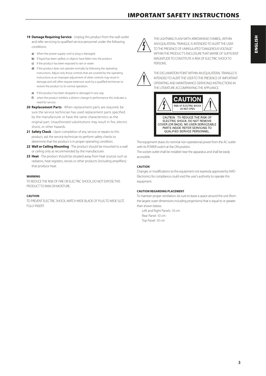# IMPORTANT SAFETY INSTRUCTIONS

- 19 **Damage Requiring Service** Unplug this product from the wall outlet and refer servicing to qualified service personnel under the following conditions:
	- **a)** When the power-supply cord or plug is damaged.
	- **b)** If liquid has been spilled, or objects have fallen into the product.
	- **c)** If the product has been exposed to rain or water.
	- **d)** If the product does not operate normally by following the operating instructions. Adjust only those controls that are covered by the operating instructions as an improper adjustment of other controls may result in damage and will often require extensive work by a qualified technician to restore the product to its normal operation.
	- **e)** If the product has been dropped or damaged in any way.
	- **f)** when the product exhibits a distinct change in performance-this indicates a need for service.
- **20 Replacement Parts**  When replacement parts are required, be sure the service technician has used replacement parts specified by the manufacturer or have the same characteristics as the original part. Unauthorized substitutions may result in fire, electric shock, or other hazards.
- **21 Safety Check**  Upon completion of any service or repairs to this product, ask the service technician to perform safety checks to determine that the product is in proper operating condition.
- **22 Wall or Ceiling Mounting**  The product should be mounted to a wall or ceiling only as recommended by the manufacturer.
- **23 Heat**  The product should be situated away from heat sources such as radiators, heat registers, stoves or other products (including amplifiers) that produce heat.

#### **WARNING**

TO REDUCE THE RISK OF FIRE OR ELECTRIC SHOCK, DO NOT EXPOSE THIS PRODUCT TO RAIN OR MOISTURE.

#### **CAUTION**

TO PREVENT ELECTRIC SHOCK, MATCH WIDE BLADE OF PLUG TO WIDE SLOT, FULLY INSERT.



THE LIGHTNING FLASH WITH ARROWHEAD SYMBOL, WITHIN AN EQUILATERAL TRIANGLE, IS INTENDED TO ALERT THE USER TO THE PRESENCE OF UNINSULATED "DANGEROUS VOLTAGE" WITHIN THE PRODUCT'S ENCLOSURE THAT MAYBE OF SUFFICIENT MAGNITUDE TO CONSTITUTE A RISK OF ELECTRIC SHOCK TO **PERSONS** 



THE EXCLAMATION POINT WITHIN AN EQUILATERAL TRIANGLE IS INTENDED TO ALERT THE USER TO THE PRESENCE OF IMPORTANT OPERATING AND MAINTENANCE (SERVICING) INSTRUCTIONS IN THE LITERATURE ACCOMPANYING THE APPLIANCE.



The equipment draws its nominal non-operational power from the AC outlet with its POWER switch at the ON position.

The socket-outlet shall be installed near the apparatus and shall be easily accessible.

#### **CAUTION**

Changes or modifications to this equipment not expressly approved by NAD Electronics for compliance could void the user's authority to operate this equipment.

#### **CAUTION REGARDING PLACEMENT**

To maintain proper ventilation, be sure to leave a space around the unit (from the largest outer dimensions including projections) that is equal to or greater than shown below.

Left and Right Panels: 10 cm Rear Panel: 10 cm Top Panel: 10 cm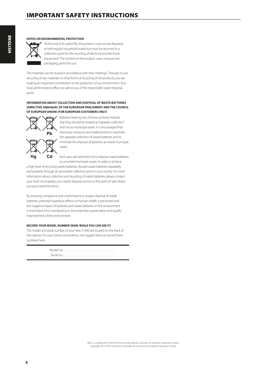#### **NOTES ON ENVIRONMENTAL PROTECTION**



At the end of its useful life, this product must not be disposed of with regular household waste but must be returned to a collection point for the recycling of electrical and electronic equipment. The symbol on the product, user's manual and packaging, point this out.

The materials can be reused in accordance with their markings. Through re-use, recycling of raw materials or other forms of recycling of old products, you are making an important contribution to the protection of our environment. Your local administrative office can advise you of the responsible waste disposal point.

#### **INFORMATION ABOUT COLLECTION AND DISPOSAL OF WASTE BATTERIES (DIRECTIVE 2006/66/EC OF THE EUROPEAN PARLIAMENT AND THE COUNCIL OF EUROPEAN UNION) (FOR EUROPEAN CUSTOMERS ONLY)**



Batteries bearing any of these symbols indicate that they should be treated as "separate collection" and not as municipal waste. It is encouraged that necessary measures are implemented to maximize the separate collection of waste batteries and to minimize the disposal of batteries as mixed municipal waste.

End-users are exhorted not to dispose waste batteries as unsorted municipal waste. In order to achieve

a high level of recycling waste batteries, discard waste batteries separately and properly through an accessible collection point in your vicinity. For more information about collection and recycling of waste batteries, please contact your local municipality, your waste disposal service or the point of sale where you purchased the items.

By ensuring compliance and conformance to proper disposal of waste batteries, potential hazardous effects on human health is prevented and the negative impact of batteries and waste batteries on the environment is minimized, thus contributing to the protection, preservation and quality improvement of the environment.

#### **RECORD YOUR MODEL NUMBER (NOW, WHILE YOU CAN SEE IT)**

The model and serial number of your new CI 940 are located on the back of the cabinet. For your future convenience, we suggest that you record these numbers here:

> Model no:. . Serial no.: . . . . . . . . . . . . . . . . . . . . . . . . . . . . . . . . . . . . . .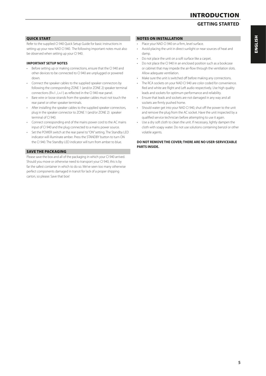# INTRODUCTION

## **GETTING STARTED**

#### QUICK START

Refer to the supplied CI 940 Quick Setup Guide for basic instructions in setting up your new NAD CI 940. The following important notes must also be observed when setting up your CI 940.

#### **IMPORTANT SETUP NOTES**

- **·** Before setting up or making connections, ensure that the CI 940 and other devices to be connected to CI 940 are unplugged or powered down.
- **·** Connect the speaker cables to the supplied speaker connectors by following the corresponding ZONE 1 (and/or ZONE 2) speaker terminal connections (R+/-, L+/-) as reflected in the CI 940 rear panel.
- **·** Bare wire or loose strands from the speaker cables must not touch the rear panel or other speaker terminals.
- **·** After installing the speaker cables to the supplied speaker connectors, plug in the speaker connector to ZONE 1 (and/or ZONE 2) speaker terminal of CI 940.
- **·** Connect corresponding end of the mains power cord to the AC mains input of CI 940 and the plug connected to a mains power source.
- **·** Set the POWER switch at the rear panel to "ON" setting. The Standby LED indicator will illuminate amber. Press the STANDBY button to turn ON the CI 940. The Standby LED indicator will turn from amber to blue.

#### SAVE THE PACKAGING

Please save the box and all of the packaging in which your CI 940 arrived. Should you move or otherwise need to transport your CI 940, this is by far the safest container in which to do so. We've seen too many otherwise perfect components damaged in transit for lack of a proper shipping carton, so please: Save that box!

### NOTES ON INSTALLATION

- **·** Place your NAD CI 940 on a firm, level surface.
- **·** Avoid placing the unit in direct sunlight or near sources of heat and damp.
- **·** Do not place the unit on a soft surface like a carpet.
- **·** Do not place the CI 940 in an enclosed position such as a bookcase or cabinet that may impede the air-flow through the ventilation slots. Allow adequate ventilation.
- **·** Make sure the unit is switched off before making any connections.
- **·** The RCA sockets on your NAD CI 940 are color coded for convenience. Red and white are Right and Left audio respectively. Use high quality leads and sockets for optimum performance and reliability.
- **·** Ensure that leads and sockets are not damaged in any way and all sockets are firmly pushed home.
- **·** Should water get into your NAD CI 940, shut off the power to the unit and remove the plug from the AC socket. Have the unit inspected by a qualified service technician before attempting to use it again.
- **·** Use a dry soft cloth to clean the unit. If necessary, lightly dampen the cloth with soapy water. Do not use solutions containing benzol or other volatile agents.

#### **DO NOT REMOVE THE COVER; THERE ARE NO USER-SERVICEABLE PARTS INSIDE.**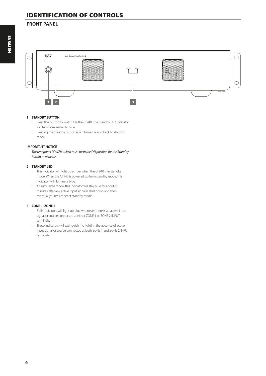# IDENTIFICATION OF CONTROLS

## **FRONT PANEL**



### **1 STANDBY BUTTON**

- **·** Press this button to switch ON the CI 940. The Standby LED indicator will turn from amber to blue.
- **·** Pressing the Standby button again turns the unit back to standby mode.

#### **IMPORTANT NOTICE**

*The rear panel POWER switch must be in the ON position for the Standby button to activate.*

#### **2 STANDBY LED**

- **·** This indicator will light up amber when the CI 940 is in standby mode. When the CI 940 is powered up from standby mode, this indicator will illuminate blue.
- **·** At auto sense mode, this indicator will stay blue for about 10 minutes after any active input signal is shut down and then eventually turns amber at standby mode.

#### **3 ZONE 1, ZONE 2**

- **·** Both indicators will light up blue whenever there is an active input signal or source connected at either ZONE 1 or ZONE 2 INPUT terminals.
- **·** These indicators will extinguish (no light) in the absence of active input signal or source connected at both ZONE 1 and ZONE 2 INPUT terminals.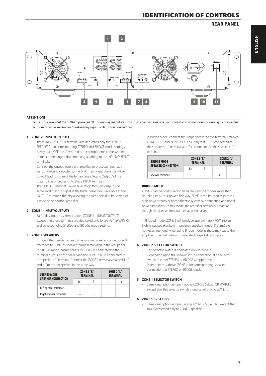### **REAR PANEL**



#### **ATTENTION!**

*Please make sure that the CI 940 is powered OFF or unplugged before making any connections. It is also advisable to power-down or unplug all associated components while making or breaking any signal or AC power connections.*

#### **1 ZONE 2 (INPUT/OUTPUT)**

- **·** These INPUT/OUTPUT terminals are dedicated only for ZONE 2 SPEAKERS and corresponding STEREO and BRIDGE mode settings.
- **·** Always turn OFF the CI 940 and other components in the system before connecting or disconnecting anything to the INPUT/OUTPUT terminals.
- **·** Connect the output from a pre-amplifier or processor, such as a surround-sound decoder, to the INPUT terminals. Use a twin RCAto-RCA lead to connect the left and right "Audio Output" of the preamplifier or processor to these INPUT terminals.
- **·** The OUTPUT terminal is a line level "loop through" output. The same level of input signal at the INPUT terminals is available at the OUTPUT terminals thereby allowing the same signal to be shared or passed on to another amplifier.

#### **2 ZONE 1 (INPUT/OUTPUT)**

**·** Same description as item 1 above (ZONE 2 – INPUT/OUTPUT) except that these terminals are dedicated only for ZONE 1 SPEAKERS and corresponding STEREO and BRIDGE mode settings.

#### **3 ZONE 2 SPEAKERS**

- **·** Connect the speaker cables to the supplied speaker connector with reference to ZONE 2's speaker terminal markings in the rear panel.
- **·** In STEREO mode, ensure that ZONE 2 "R+" is connected to the "+" terminal of your right speaker and the ZONE 2 "R-" is connected to the speaker's "-" terminal. Connect the ZONE 2 terminals marked "L+" and "L-" to the left speaker in the same way.

| <b>STEREO MODE</b><br><b>SPEAKER CONNECTION</b> | <b>ZONE 2 "R"</b><br><b>TERMINAL</b> |    | <b>ZONE 2 "L"</b><br><b>TERMINAL</b> |   |  |
|-------------------------------------------------|--------------------------------------|----|--------------------------------------|---|--|
|                                                 | $R+$                                 | R- | $+$                                  |   |  |
| Left speaker terminals                          |                                      |    |                                      | - |  |
| Right speaker terminals                         | $^+$                                 |    |                                      |   |  |

**·** In Bridge Mode, connect the single speaker to the terminals marked ZONE 2 "R  $+$ " and ZONE 2 "L  $+$ " ensuring that "L  $+$ " is connected to the speaker's "+" terminal and "R+" connected to the speaker's "-" terminal.

| <b>BRIDGE MODE</b><br><b>SPEAKER CONNECTION</b> | <b>ZONE 2 "R"</b><br><b>TERMINAL</b> |    | <b>ZONE 2 "L"</b><br><b>TERMINAL</b> |     |
|-------------------------------------------------|--------------------------------------|----|--------------------------------------|-----|
|                                                 | $R+$                                 | R- | $+$                                  | ۔ ا |
| Speaker terminals                               | -                                    |    | $\overline{+}$                       |     |

#### **BRIDGE MODE**

ZONE 2 can be configured to be MONO (Bridge mode), more than doubling its output power. This way, ZONE 2 can be used as part of a high power stereo or home-theatre system by connecting additional power amplifiers. In this mode, the amplifier section will react as though the speaker impedance has been halved.

In Bridged mode, ZONE 2 will produce approximately 70W into an 8 ohm loudspeaker. Low impedance speakers (under 8 ohms) are not recommended when using Bridge mode as these may cause the amplifier's thermal cut-out to operate if played at high levels.

#### **4 ZONE 2 SELECTOR SWITCH**

- **·** This selector switch is dedicated only to Zone 2.
- **·** Depending upon the speaker setup connection, slide selector switch to either STEREO or BRIDGE as applicable.
- **·** Refer to item 3 above (ZONE 2) for corresponding speaker connections at STEREO or BRIDGE mode.

#### **5 ZONE 1 SELECTOR SWITCH**

**·** Same description as item 4 above (ZONE 2 SELECTOR SWITCH) except that this selector switch is dedicated only to ZONE 1.

#### **6 ZONE 1 SPEAKERS**

**·** Same description as item 3 above (ZONE 2 SPEAKERS) except that this is dedicated only to ZONE 1 speakers.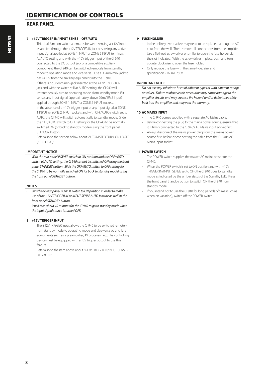### **REAR PANEL**

#### **7 +12V TRIGGER IN/INPUT SENSE - OFF/AUTO**

- **·** This dual function switch alternates between sensing a +12V input as applied through the +12V TRIGGER IN jack or sensing any active input signal applied at ZONE 1 INPUT or ZONE 2 INPUT terminals.
- **·** At AUTO setting and with the +12V trigger input of the CI 940 connected to the DC output jack of a compatible auxiliary component, the CI 940 can be switched remotely from standby mode to operating mode and vice-versa. Use a 3.5mm mini-jack to pass +12V from the auxiliary equipment into the CI 940.
- **·** If there is no 3.5mm mini-jack inserted at the +12V TRIGGER IN jack and with the switch still at AUTO setting, the CI 940 will instantaneously turn to operating mode from standby mode if it senses any input signal (approximately above 20mV RMS input) applied through ZONE 1 INPUT or ZONE 2 INPUT sockets.
- **·** In the absence of a +12V trigger input or any input signal at ZONE 1 INPUT or ZONE 2 INPUT sockets and with OFF/AUTO switch set to AUTO, the CI 940 will switch automatically to standby mode. Slide the OFF/AUTO switch to OFF setting for the CI 940 to be normally switched ON (or back to standby mode) using the front panel STANDBY button.
- **·** Refer also to the section below about "AUTOMATED TURN-ON LOGIC (ATO LOGIC)".

#### **IMPORTANT NOTICE**

*With the rear panel POWER switch at ON position and the OFF/AUTO switch at AUTO setting, the CI 940 cannot be switched ON using the front panel STANDBY button. Slide the OFF/AUTO switch to OFF setting for the CI 940 to be normally switched ON (or back to standby mode) using the front panel STANDBY button.*

#### **NOTES**

- *· Switch the rear panel POWER switch to ON position in order to make use of the +12V TRIGGER IN or INPUT SENSE AUTO feature as well as the front panel STANDBY button.*
- *· It will take about 10 minutes for the CI 940 to go to standby mode when the input signal source is turned OFF.*

#### **8 +12V TRIGGER INPUT**

- **·** The +12V TRIGGER input allows the CI 940 to be switched remotely from standby mode to operating mode and vice-versa by ancillary equipments such as a preamplifier, AV processor, etc. The controlling device must be equipped with a 12V trigger output to use this feature.
- **·** Refer also to the item above about "+12V TRIGGER IN/INPUT SENSE  $OEF/Al$  IT $O''$

#### **9 FUSE HOLDER**

- **·** In the unlikely event a fuse may need to be replaced, unplug the AC cord from the wall. Then, remove all connections from the amplifier. Use a flathead screw driver or similar to open the fuse holder via the slot indicated. With the screw driver in place, push and turn counterclockwise to open the fuse holder.
- **·** Only replace the fuse with the same type, size, and specification - T6.3AL 250V.

#### **IMPORTANT NOTICE**

*Do not use any substitute fuses of different types or with different ratings or values. Failure to observe this precaution may cause damage to the amplifier circuits and may create a fire hazard and/or defeat the safety built into the amplifier and may void the warranty.*

#### **10 AC MAINS INPUT**

- **·** The CI 940 comes supplied with a separate AC Mains cable.
- **·** Before connecting the plug to the mains power source, ensure that it is firmly connected to the CI 940's AC Mains input socket first.
- **·** Always disconnect the mains power plug from the mains power source first, before disconnecting the cable from the CI 940's AC Mains input socket.

#### **11 POWER SWITCH**

- **·** The POWER switch supplies the master AC mains power for the CI 940.
- **·** When the POWER switch is set to ON position and with +12V TRIGGER IN/INPUT SENSE set to OFF, the CI 940 goes to standby mode as indicated by the amber status of the Standby LED. Press the front panel Standby button to switch ON the CI 940 from standby mode.
- **·** If you intend not to use the CI 940 for long periods of time (such as when on vacation), switch off the POWER switch.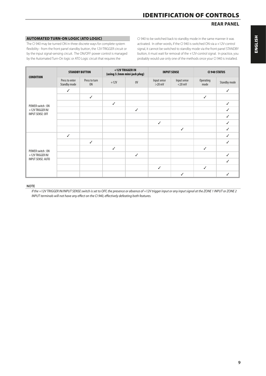### **REAR PANEL**

### AUTOMATED TURN-ON LOGIC (ATO LOGIC)

The CI 940 may be turned ON in three discrete ways for complete system flexibility - from the front panel standby button, the 12V-TRIGGER circuit or by the input signal-sensing circuit. The ON/OFF power control is managed by the Automated Turn-On logic or ATO Logic circuit that requires the

CI 940 to be switched back to standby mode in the same manner it was activated. In other words, if the CI 940 is switched ON via a +12V-control signal, it cannot be switched to standby mode via the front panel STANDBY button, it must wait for removal of the +12V-control signal. In practice, you probably would use only one of the methods once your CI 940 is installed.

| <b>CONDITION</b>                               | <b>STANDBY BUTTON</b>          |                            | +12V TRIGGER IN<br>(using 3.5mm mini-jack plug) |              | <b>INPUT SENSE</b>      |                          | <b>CI 940 STATUS</b> |                     |
|------------------------------------------------|--------------------------------|----------------------------|-------------------------------------------------|--------------|-------------------------|--------------------------|----------------------|---------------------|
|                                                | Press to enter<br>Standby mode | Press to turn<br><b>ON</b> | $+12V$                                          | 0V           | Input sense<br>$>20$ mV | Input sense<br>$<$ 20 mV | Operating<br>mode    | <b>Standby mode</b> |
|                                                | $\checkmark$                   |                            |                                                 |              |                         |                          |                      | $\checkmark$        |
|                                                |                                | $\checkmark$               |                                                 |              |                         |                          | $\checkmark$         |                     |
| POWER switch: ON                               |                                |                            | $\checkmark$                                    |              |                         |                          |                      | $\checkmark$        |
| $+12V$ TRIGGER IN/                             |                                |                            |                                                 | $\checkmark$ |                         |                          |                      | $\checkmark$        |
| <b>INPUT SENSE: OFF</b>                        |                                |                            |                                                 |              |                         |                          |                      | $\checkmark$        |
|                                                |                                |                            |                                                 |              | $\checkmark$            |                          |                      | $\checkmark$        |
|                                                |                                |                            |                                                 |              |                         | $\checkmark$             |                      | $\checkmark$        |
|                                                | $\checkmark$                   |                            |                                                 |              |                         |                          |                      | $\checkmark$        |
|                                                |                                | $\checkmark$               |                                                 |              |                         |                          |                      | ✓                   |
| POWER switch: ON                               |                                |                            | $\checkmark$                                    |              |                         |                          | $\checkmark$         |                     |
| $+12V$ TRIGGER IN/<br><b>INPUT SENSE: AUTO</b> |                                |                            |                                                 | $\checkmark$ |                         |                          |                      | $\checkmark$        |
|                                                |                                |                            |                                                 |              |                         |                          |                      | $\checkmark$        |
|                                                |                                |                            |                                                 |              | $\checkmark$            |                          | $\checkmark$         |                     |
|                                                |                                |                            |                                                 |              |                         | ✓                        |                      | $\checkmark$        |

#### **NOTE**

*If the +12V TRIGGER IN/INPUT SENSE switch is set to OFF, the presence or absence of +12V trigger input or any input signal at the ZONE 1 INPUT or ZONE 2 INPUT terminals will not have any effect on the CI 940, effectively defeating both features.*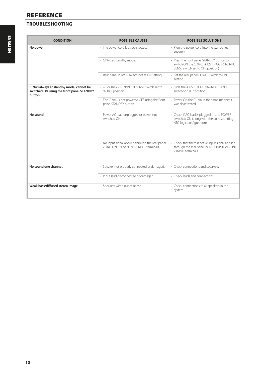# REFERENCE

# **TROUBLESHOOTING**

| <b>CONDITION</b>                                                                                 | <b>POSSIBLE CAUSES</b>                                                                      | <b>POSSIBLE SOLUTIONS</b>                                                                                                      |
|--------------------------------------------------------------------------------------------------|---------------------------------------------------------------------------------------------|--------------------------------------------------------------------------------------------------------------------------------|
| No power.                                                                                        | • The power cord is disconnected.                                                           | • Plug the power cord into the wall outlet<br>securely.                                                                        |
|                                                                                                  | • CI 940 at standby mode.                                                                   | • Press the front panel STANDBY button to<br>switch ON the CI 940. (+12V TRIGGER IN/INPUT<br>SENSE switch set to OFF position) |
|                                                                                                  | • Rear panel POWER switch not at ON setting.                                                | • Set the rear panel POWER switch to ON<br>setting.                                                                            |
| CI 940 always at standby mode; cannot be<br>switched ON using the front panel STANDBY<br>button. | • +12V TRIGGER IN/INPUT SENSE switch set to<br>"AUTO" position.                             | · Slide the +12V TRIGGER IN/INPUT SENSE<br>switch to "OFF" position.                                                           |
|                                                                                                  | • The CI 940 is not powered OFF using the front<br>panel STANDBY button.                    | • Power ON the CI 940 in the same manner it<br>was deactivated.                                                                |
| No sound.                                                                                        | • Power AC lead unplugged or power not<br>switched ON                                       | • Check if AC lead is plugged-in and POWER<br>switched ON (along with the corresponding<br>ATO logic configuration).           |
|                                                                                                  | • No input signal applied through the rear panel<br>ZONE 1 INPUT or ZONE 2 INPUT terminals. | • Check that there is active input signal applied<br>through the rear panel ZONE 1 INPUT or ZONE<br>2 INPLIT terminals         |
| No sound one channel.                                                                            | · Speaker not properly connected or damaged.                                                | • Check connections and speakers.                                                                                              |
|                                                                                                  | · Input lead disconnected or damaged.                                                       | • Check leads and connections.                                                                                                 |
| Weak bass/diffused stereo image.                                                                 | • Speakers wired out of phase.                                                              | • Check connections to all speakers in the<br>system.                                                                          |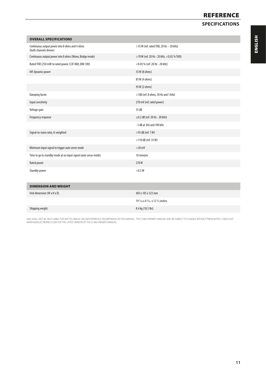# **REFERENCE**

## **SPECIFICATIONS**

| <b>OVERALL SPECIFICATIONS</b>                                            |                                          |
|--------------------------------------------------------------------------|------------------------------------------|
| Continuous output power into 8 ohms and 4 ohms<br>(both channels driven) | >35 W (ref. rated THD, 20 Hz - 20 kHz)   |
| Continuous output power into 8 ohms (Mono, Bridge mode)                  | >70 W (ref. 20 Hz - 20 kHz, <0.02 % THD) |
| Rated THD (250 mW to rated power, CCIF IMD, DIM 100)                     | <0.03 % (ref. 20 Hz - 20 kHz)            |
| <b>IHF dynamic power</b>                                                 | 55 W (8 ohms)                            |
|                                                                          | 85 W (4 ohms)                            |
|                                                                          | 95 W (2 ohms)                            |
| Damping factor                                                           | >180 (ref. 8 ohms, 50 Hz and 1 kHz)      |
| Input sensitivity                                                        | 270 mV (ref. rated power)                |
| Voltage gain                                                             | 35 dB                                    |
| Frequency response                                                       | $\pm$ 0.2 dB (ref. 20 Hz - 20 kHz)       |
|                                                                          | - 3 dB at 3Hz and 100 kHz                |
| Signal-to-noise ratio, A-weighted                                        | $>95$ dB (ref. 1 W)                      |
|                                                                          | $>$ 110 dB (ref. 35 W)                   |
| Minimum input signal to trigger auto sense mode                          | $>20$ mV                                 |
| Time to go to standby mode at no input signal (auto sense mode)          | 10 minutes                               |
| Rated power                                                              | 270W                                     |
| Standby power                                                            | $<$ 0.5 W                                |

| <b>DIMENSION AND WEIGHT</b>            |                                                                |
|----------------------------------------|----------------------------------------------------------------|
| Unit dimension $(W \times H \times D)$ | 483 x 105 x 323 mm                                             |
|                                        | 19 $\frac{1}{16}$ x 4 $\frac{3}{16}$ x 12 $\frac{3}{4}$ inches |
| Shipping weight                        | 8.4 kg (18.5 lbs)                                              |

NAD SHALL NOT BE HELD LIABLE FOR ANY TECHNICAL OR USER INTERFACE DISCREPANCIES IN THIS MANUAL. THE CI 940 OWNER'S MANUAL MAY BE SUBJECT TO CHANGE WITHOUT PRIOR NOTICE. CHECK OUT<br>WWW.NADELECTRONICS.COM FOR THE LATEST VERSIO